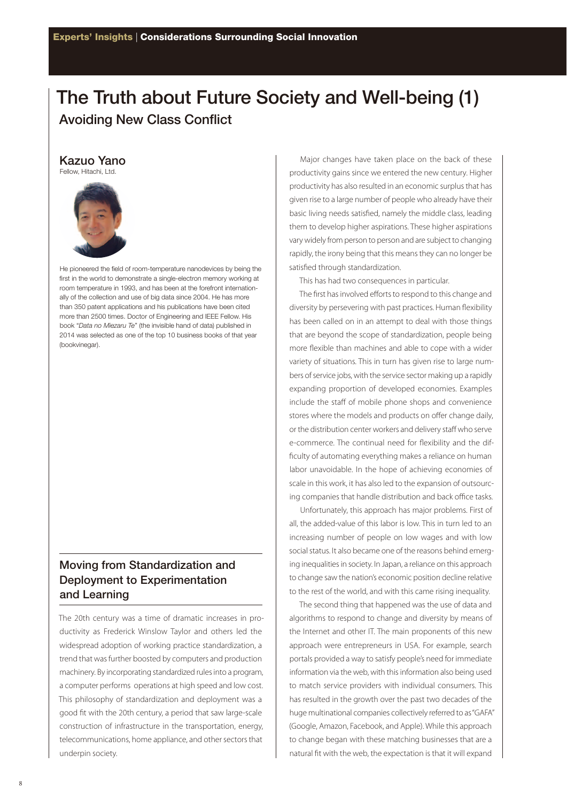## **The Truth about Future Society and Well-being (1) Avoiding New Class Conflict**

## **Kazuo Yano**

Fellow, Hitachi, Ltd.



He pioneered the field of room-temperature nanodevices by being the first in the world to demonstrate a single-electron memory working at room temperature in 1993, and has been at the forefront internationally of the collection and use of big data since 2004. He has more than 350 patent applications and his publications have been cited more than 2500 times. Doctor of Engineering and IEEE Fellow. His book "*Data no Miezaru Te*" (the invisible hand of data) published in 2014 was selected as one of the top 10 business books of that year (bookvinegar).

## **Moving from Standardization and Deployment to Experimentation and Learning**

The 20th century was a time of dramatic increases in productivity as Frederick Winslow Taylor and others led the widespread adoption of working practice standardization, a trend that was further boosted by computers and production machinery. By incorporating standardized rules into a program, a computer performs operations at high speed and low cost. This philosophy of standardization and deployment was a good fit with the 20th century, a period that saw large-scale construction of infrastructure in the transportation, energy, telecommunications, home appliance, and other sectors that underpin society.

Major changes have taken place on the back of these productivity gains since we entered the new century. Higher productivity has also resulted in an economic surplus that has given rise to a large number of people who already have their basic living needs satisfied, namely the middle class, leading them to develop higher aspirations. These higher aspirations vary widely from person to person and are subject to changing rapidly, the irony being that this means they can no longer be satisfied through standardization.

This has had two consequences in particular.

The first has involved efforts to respond to this change and diversity by persevering with past practices. Human flexibility has been called on in an attempt to deal with those things that are beyond the scope of standardization, people being more flexible than machines and able to cope with a wider variety of situations. This in turn has given rise to large numbers of service jobs, with the service sector making up a rapidly expanding proportion of developed economies. Examples include the staff of mobile phone shops and convenience stores where the models and products on offer change daily, or the distribution center workers and delivery staff who serve e-commerce. The continual need for flexibility and the difficulty of automating everything makes a reliance on human labor unavoidable. In the hope of achieving economies of scale in this work, it has also led to the expansion of outsourcing companies that handle distribution and back office tasks.

Unfortunately, this approach has major problems. First of all, the added-value of this labor is low. This in turn led to an increasing number of people on low wages and with low social status. It also became one of the reasons behind emerging inequalities in society. In Japan, a reliance on this approach to change saw the nation's economic position decline relative to the rest of the world, and with this came rising inequality.

The second thing that happened was the use of data and algorithms to respond to change and diversity by means of the Internet and other IT. The main proponents of this new approach were entrepreneurs in USA. For example, search portals provided a way to satisfy people's need for immediate information via the web, with this information also being used to match service providers with individual consumers. This has resulted in the growth over the past two decades of the huge multinational companies collectively referred to as "GAFA" (Google, Amazon, Facebook, and Apple). While this approach to change began with these matching businesses that are a natural fit with the web, the expectation is that it will expand